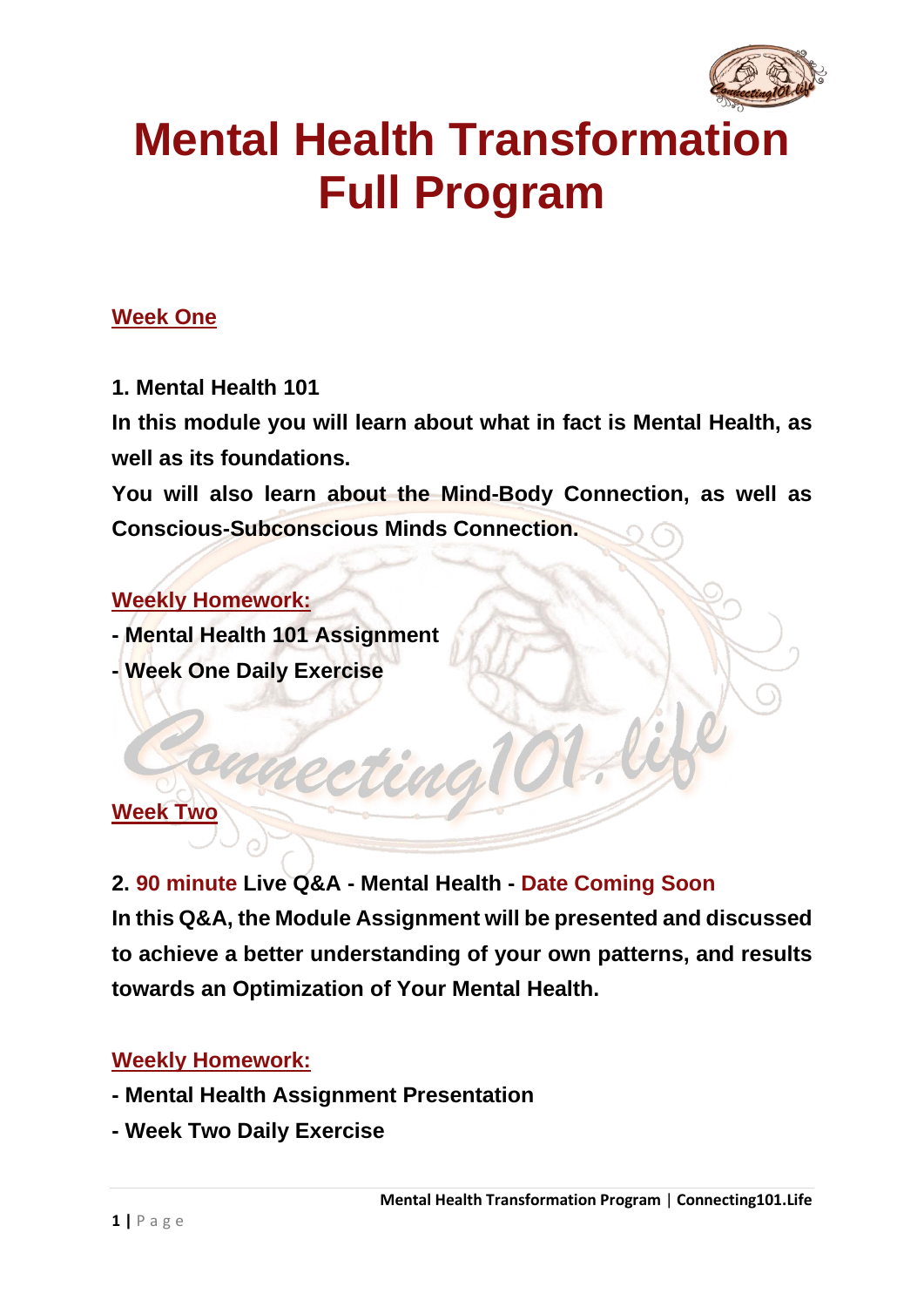

# **Mental Health Transformation Full Program**

#### **Week One**

**1. Mental Health 101**

**In this module you will learn about what in fact is Mental Health, as well as its foundations.**

**You will also learn about the Mind-Body Connection, as well as Conscious-Subconscious Minds Connection.**

#### **Weekly Homework:**

**- Mental Health 101 Assignment**

**- Week One Daily Exercise**

#### **Week Two**

**2. 90 minute Live Q&A - Mental Health - Date Coming Soon In this Q&A, the Module Assignment will be presented and discussed to achieve a better understanding of your own patterns, and results towards an Optimization of Your Mental Health.**

- **- Mental Health Assignment Presentation**
- **- Week Two Daily Exercise**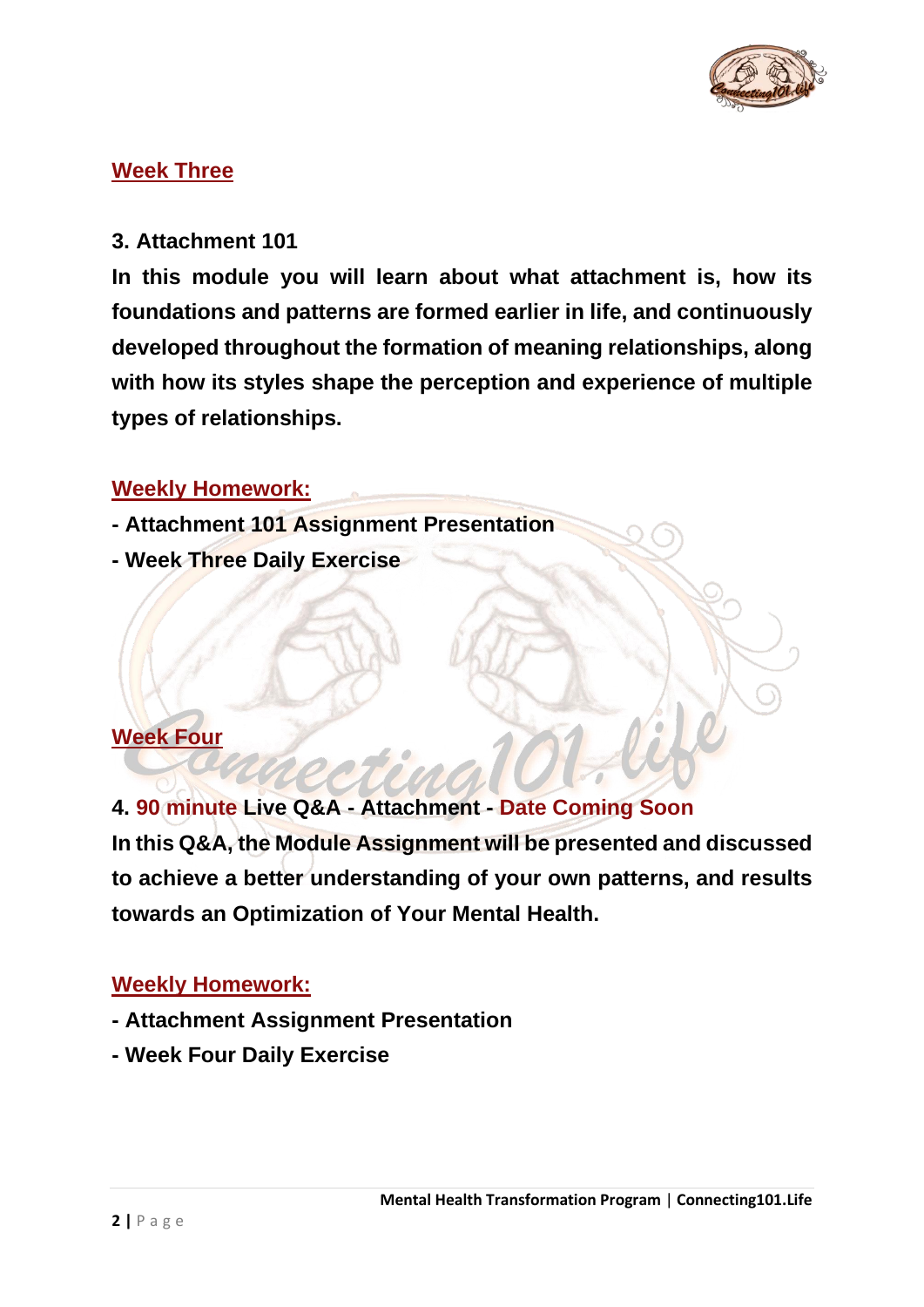

#### **Week Three**

#### **3. Attachment 101**

**In this module you will learn about what attachment is, how its foundations and patterns are formed earlier in life, and continuously developed throughout the formation of meaning relationships, along with how its styles shape the perception and experience of multiple types of relationships.**

#### **Weekly Homework:**

- **- Attachment 101 Assignment Presentation**
- **- Week Three Daily Exercise**

#### **Week Four**

**4. 90 minute Live Q&A - Attachment - Date Coming Soon In this Q&A, the Module Assignment will be presented and discussed to achieve a better understanding of your own patterns, and results towards an Optimization of Your Mental Health.**

- **- Attachment Assignment Presentation**
- **- Week Four Daily Exercise**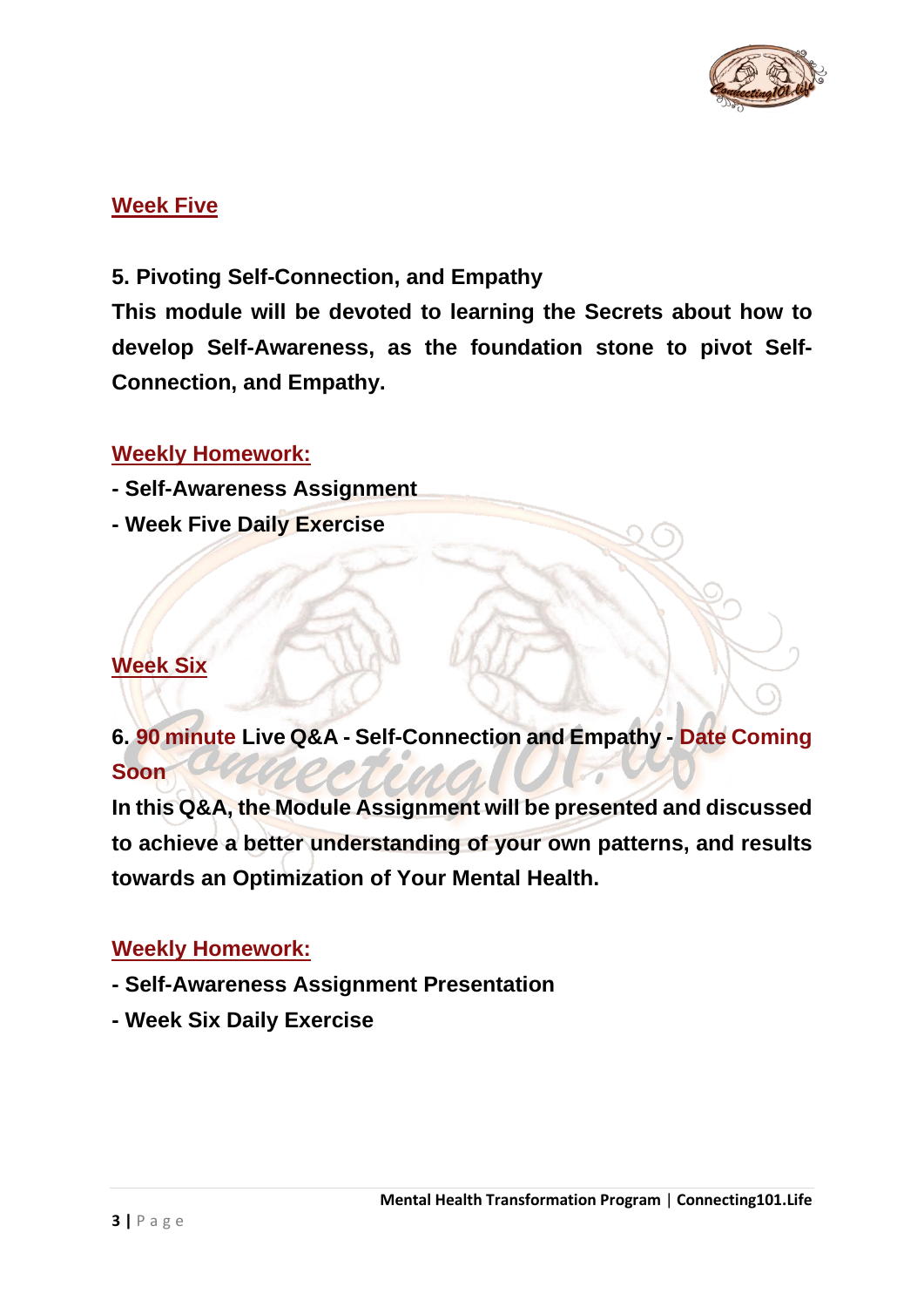

#### **Week Five**

#### **5. Pivoting Self-Connection, and Empathy**

**This module will be devoted to learning the Secrets about how to develop Self-Awareness, as the foundation stone to pivot Self-Connection, and Empathy.**

#### **Weekly Homework:**

- **- Self-Awareness Assignment**
- **- Week Five Daily Exercise**

#### **Week Six**

**6. 90 minute Live Q&A - Self-Connection and Empathy - Date Coming Soon**

**In this Q&A, the Module Assignment will be presented and discussed to achieve a better understanding of your own patterns, and results towards an Optimization of Your Mental Health.**

- **- Self-Awareness Assignment Presentation**
- **- Week Six Daily Exercise**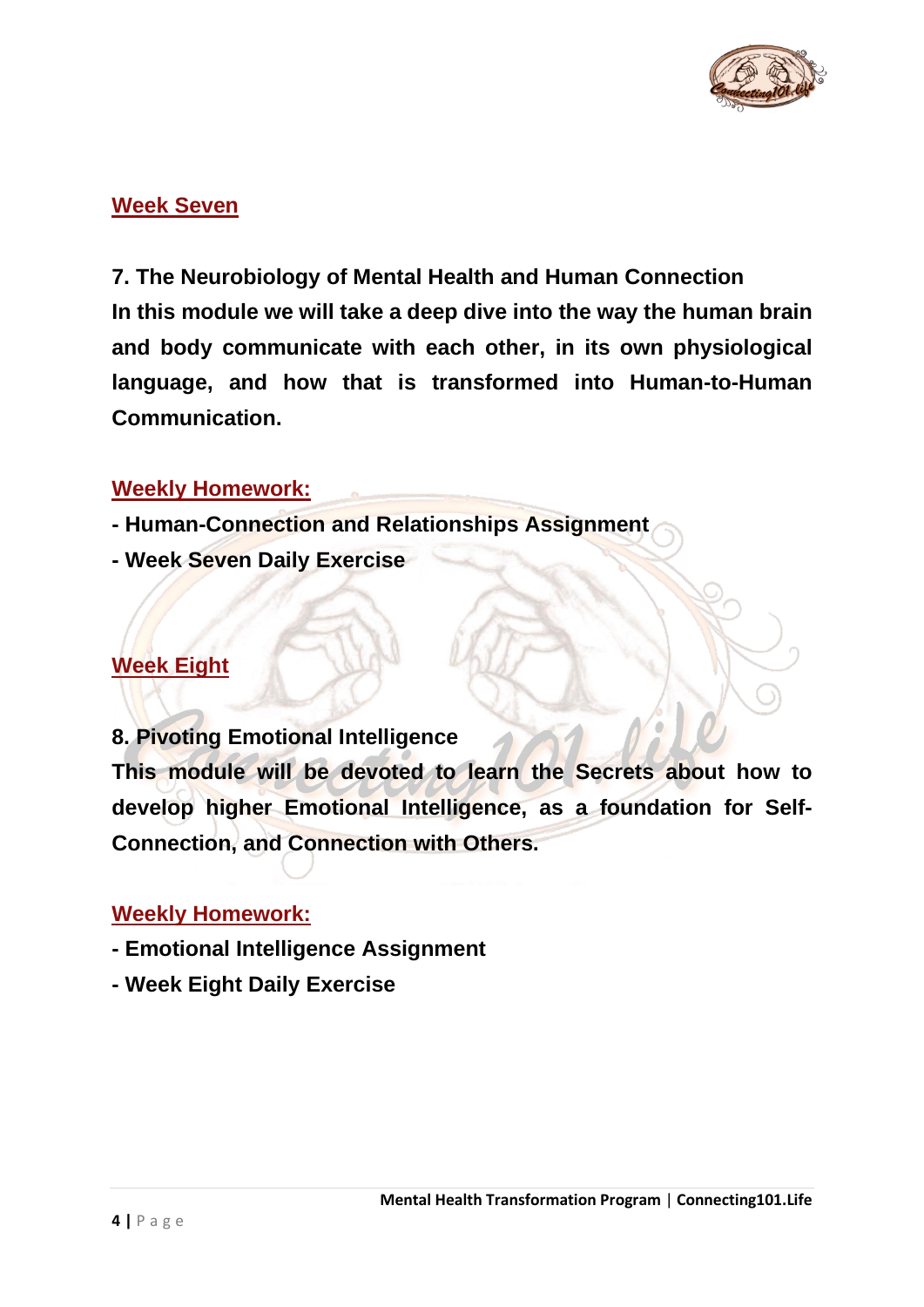

#### **Week Seven**

**7. The Neurobiology of Mental Health and Human Connection In this module we will take a deep dive into the way the human brain and body communicate with each other, in its own physiological language, and how that is transformed into Human-to-Human Communication.**

#### **Weekly Homework:**

- **- Human-Connection and Relationships Assignment**
- **- Week Seven Daily Exercise**

#### **Week Eight**

**8. Pivoting Emotional Intelligence**

**This module will be devoted to learn the Secrets about how to develop higher Emotional Intelligence, as a foundation for Self-Connection, and Connection with Others.**

- **- Emotional Intelligence Assignment**
- **- Week Eight Daily Exercise**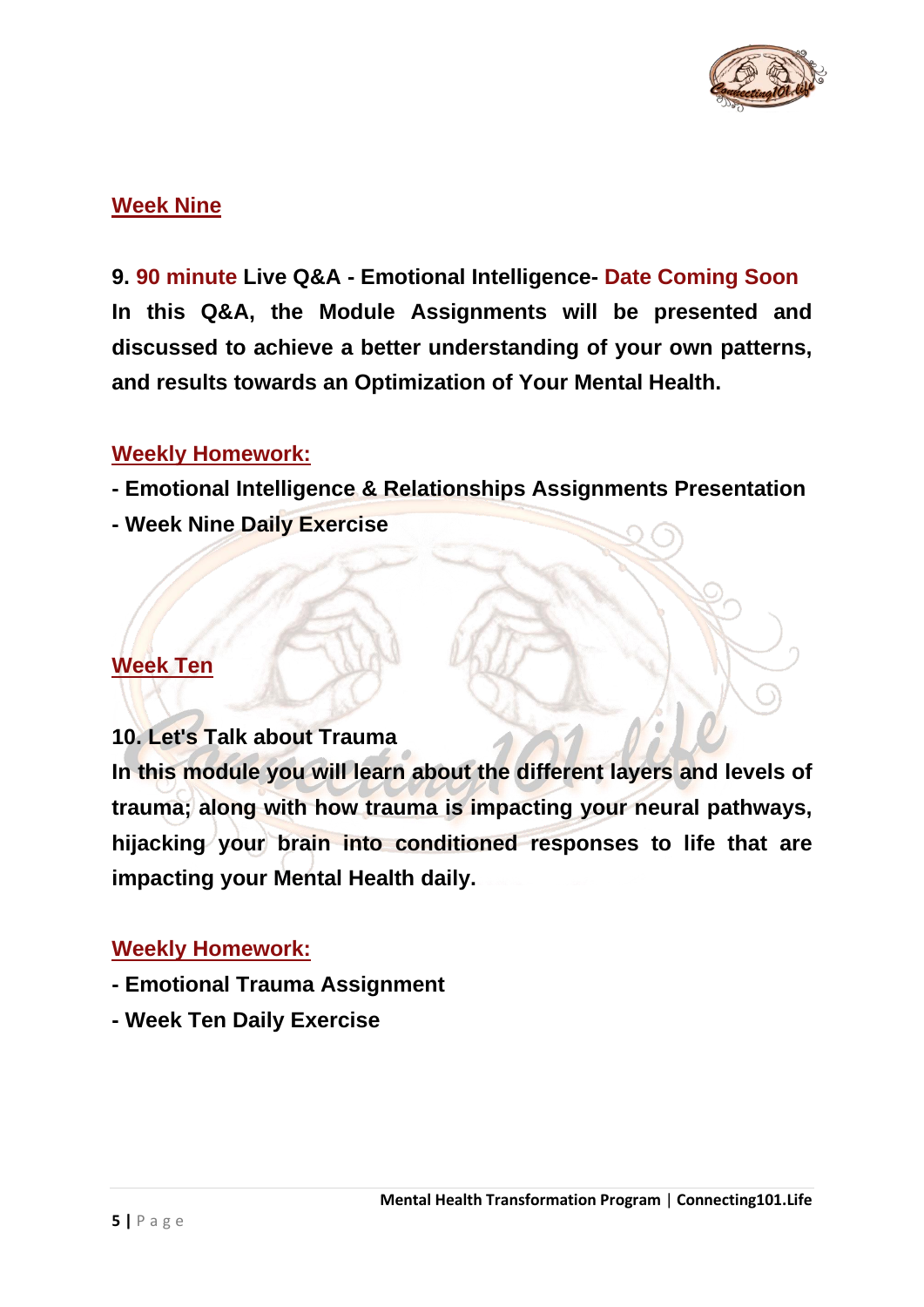

#### **Week Nine**

**9. 90 minute Live Q&A - Emotional Intelligence- Date Coming Soon In this Q&A, the Module Assignments will be presented and discussed to achieve a better understanding of your own patterns, and results towards an Optimization of Your Mental Health.**

#### **Weekly Homework:**

- **- Emotional Intelligence & Relationships Assignments Presentation**
- **- Week Nine Daily Exercise**

#### **Week Ten**

#### **10. Let's Talk about Trauma**

**In this module you will learn about the different layers and levels of trauma; along with how trauma is impacting your neural pathways, hijacking your brain into conditioned responses to life that are impacting your Mental Health daily.**

- **- Emotional Trauma Assignment**
- **- Week Ten Daily Exercise**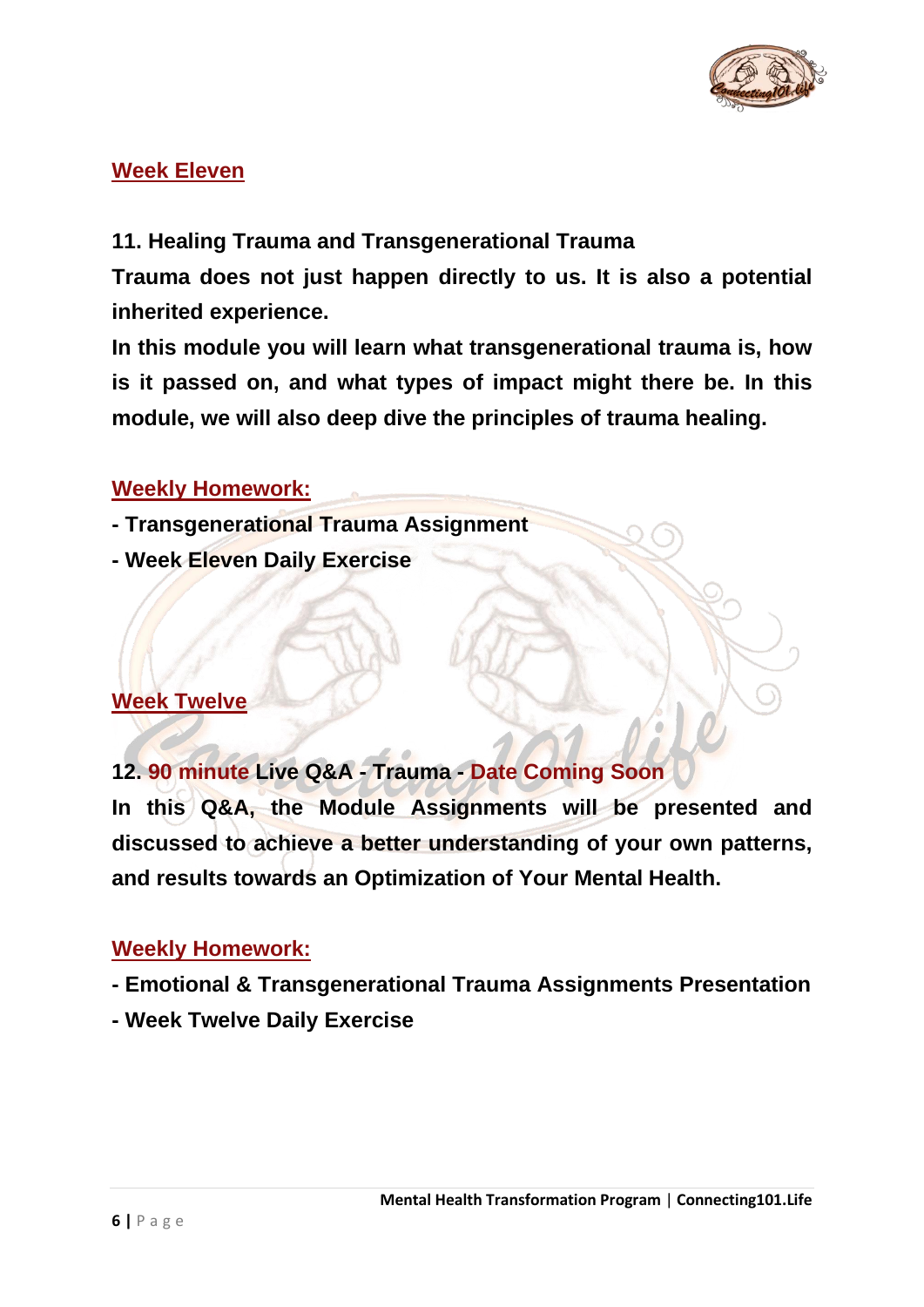

#### **Week Eleven**

#### **11. Healing Trauma and Transgenerational Trauma**

**Trauma does not just happen directly to us. It is also a potential inherited experience.**

**In this module you will learn what transgenerational trauma is, how is it passed on, and what types of impact might there be. In this module, we will also deep dive the principles of trauma healing.**

#### **Weekly Homework:**

- **- Transgenerational Trauma Assignment**
- **- Week Eleven Daily Exercise**

#### **Week Twelve**

**12. 90 minute Live Q&A - Trauma - Date Coming Soon**

**In this Q&A, the Module Assignments will be presented and discussed to achieve a better understanding of your own patterns, and results towards an Optimization of Your Mental Health.**

- **- Emotional & Transgenerational Trauma Assignments Presentation**
- **- Week Twelve Daily Exercise**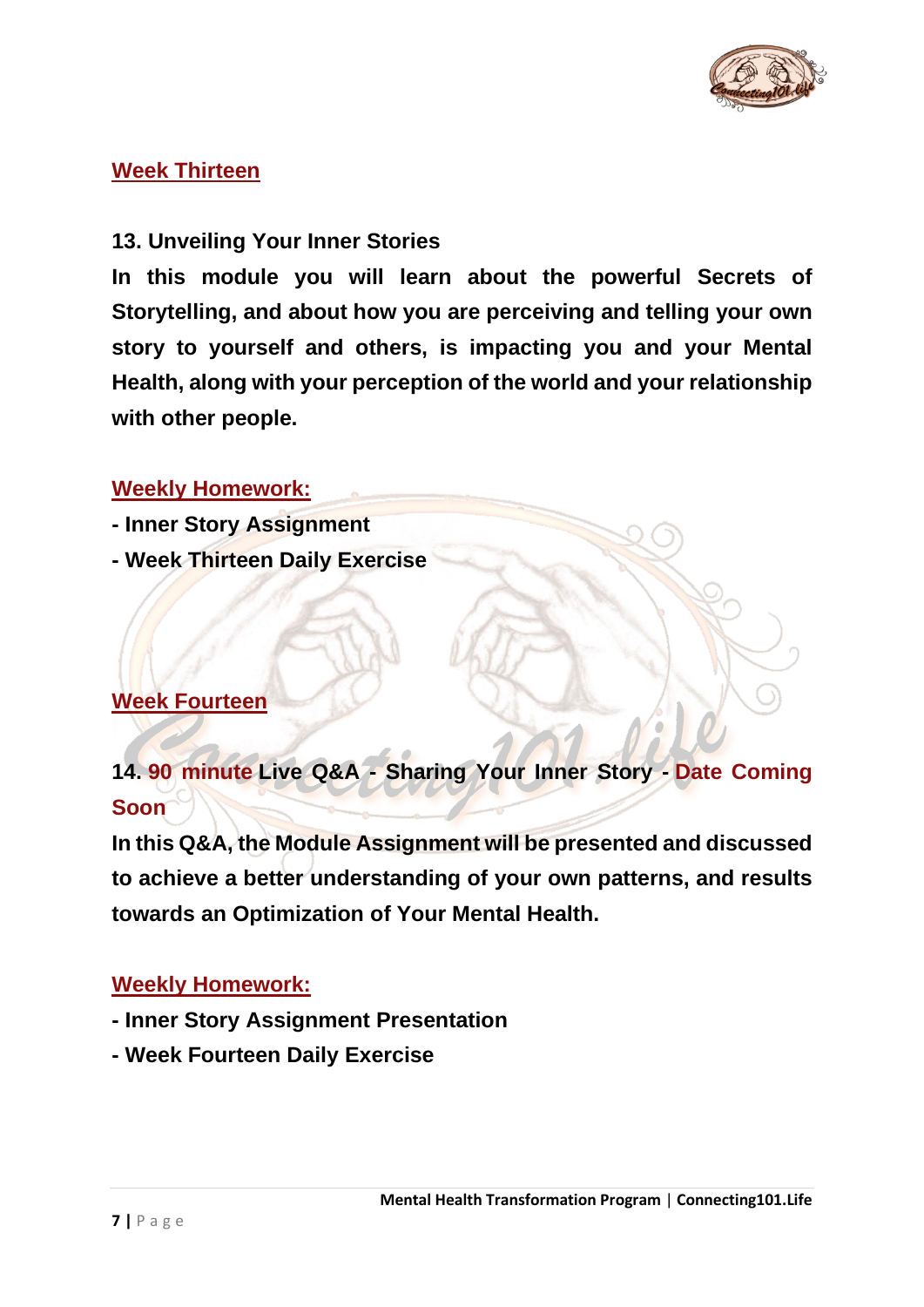

#### **Week Thirteen**

#### **13. Unveiling Your Inner Stories**

**In this module you will learn about the powerful Secrets of Storytelling, and about how you are perceiving and telling your own story to yourself and others, is impacting you and your Mental Health, along with your perception of the world and your relationship with other people.**

#### **Weekly Homework:**

- **- Inner Story Assignment**
- **- Week Thirteen Daily Exercise**

#### **Week Fourteen**

**14. 90 minute Live Q&A - Sharing Your Inner Story - Date Coming Soon**

**In this Q&A, the Module Assignment will be presented and discussed to achieve a better understanding of your own patterns, and results towards an Optimization of Your Mental Health.**

- **- Inner Story Assignment Presentation**
- **- Week Fourteen Daily Exercise**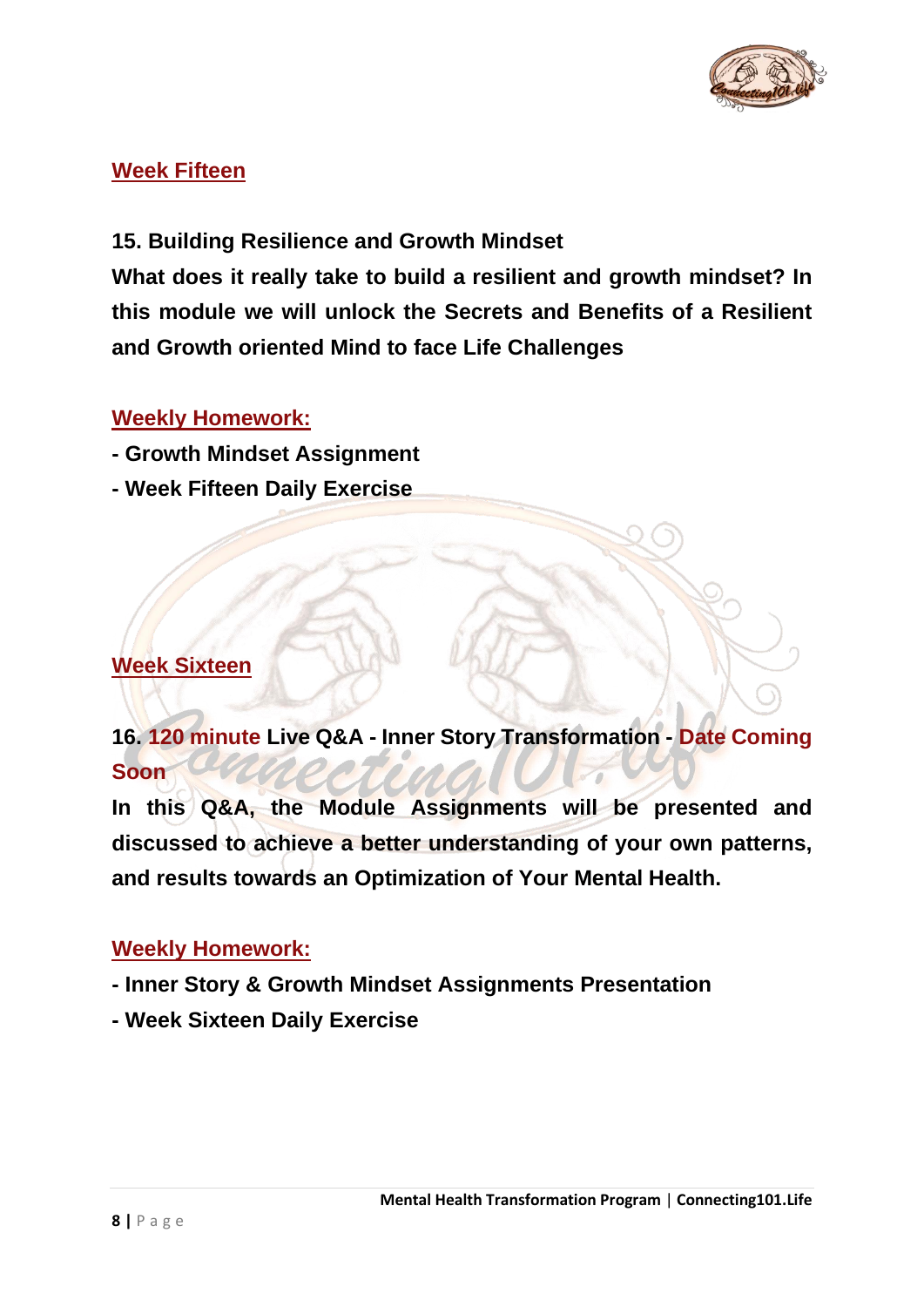

#### **Week Fifteen**

**15. Building Resilience and Growth Mindset**

**What does it really take to build a resilient and growth mindset? In this module we will unlock the Secrets and Benefits of a Resilient and Growth oriented Mind to face Life Challenges**

#### **Weekly Homework:**

- **- Growth Mindset Assignment**
- **- Week Fifteen Daily Exercise**

#### **Week Sixteen**

**16. 120 minute Live Q&A - Inner Story Transformation - Date Coming Soon**

**In this Q&A, the Module Assignments will be presented and discussed to achieve a better understanding of your own patterns, and results towards an Optimization of Your Mental Health.**

- **- Inner Story & Growth Mindset Assignments Presentation**
- **- Week Sixteen Daily Exercise**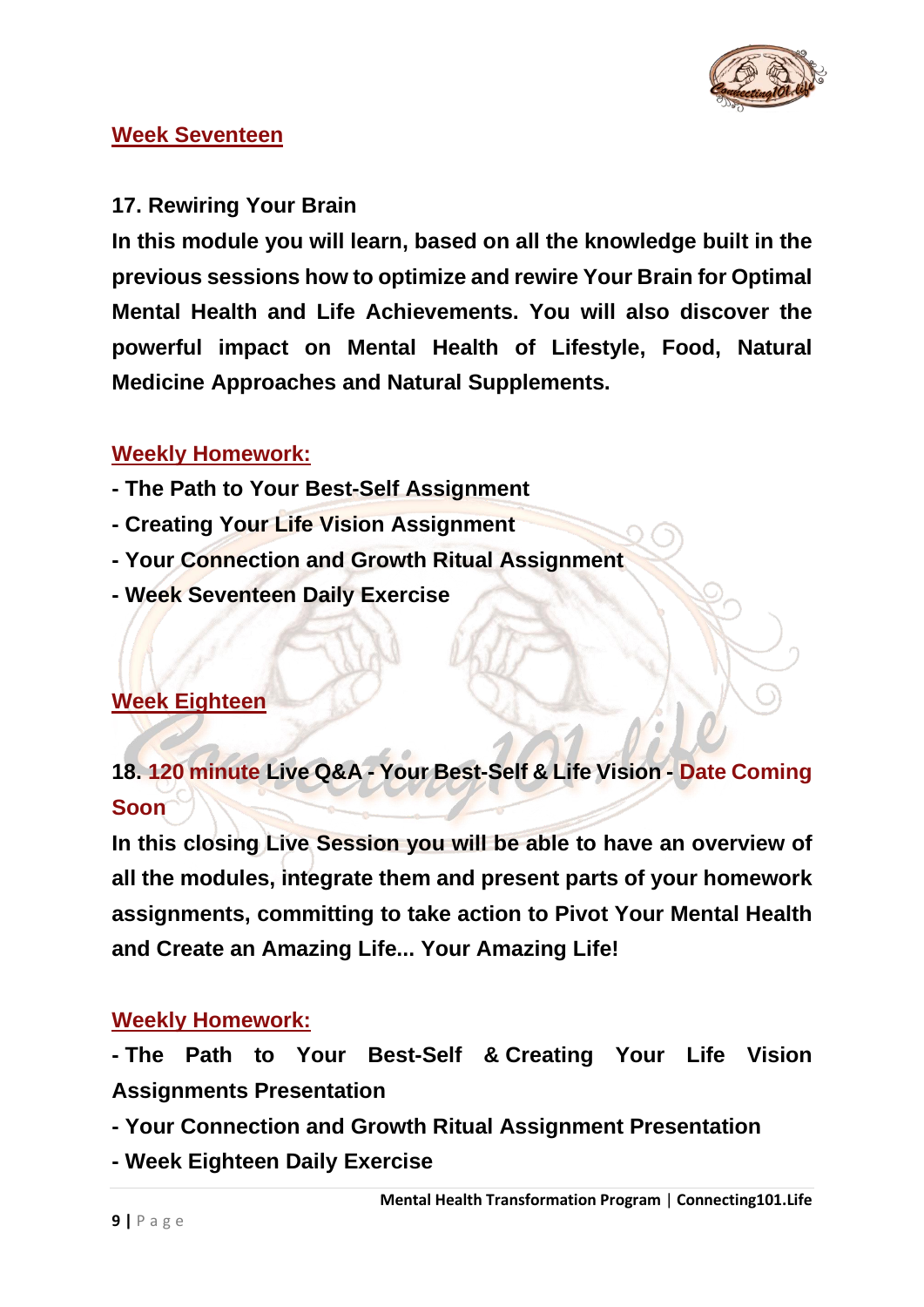

#### **Week Seventeen**

#### **17. Rewiring Your Brain**

**In this module you will learn, based on all the knowledge built in the previous sessions how to optimize and rewire Your Brain for Optimal Mental Health and Life Achievements. You will also discover the powerful impact on Mental Health of Lifestyle, Food, Natural Medicine Approaches and Natural Supplements.**

#### **Weekly Homework:**

- **- The Path to Your Best-Self Assignment**
- **- Creating Your Life Vision Assignment**
- **- Your Connection and Growth Ritual Assignment**
- **- Week Seventeen Daily Exercise**

#### **Week Eighteen**

**18. 120 minute Live Q&A - Your Best-Self & Life Vision - Date Coming Soon**

**In this closing Live Session you will be able to have an overview of all the modules, integrate them and present parts of your homework assignments, committing to take action to Pivot Your Mental Health and Create an Amazing Life... Your Amazing Life!**

#### **Weekly Homework:**

**- The Path to Your Best-Self & Creating Your Life Vision Assignments Presentation**

- **- Your Connection and Growth Ritual Assignment Presentation**
- **- Week Eighteen Daily Exercise**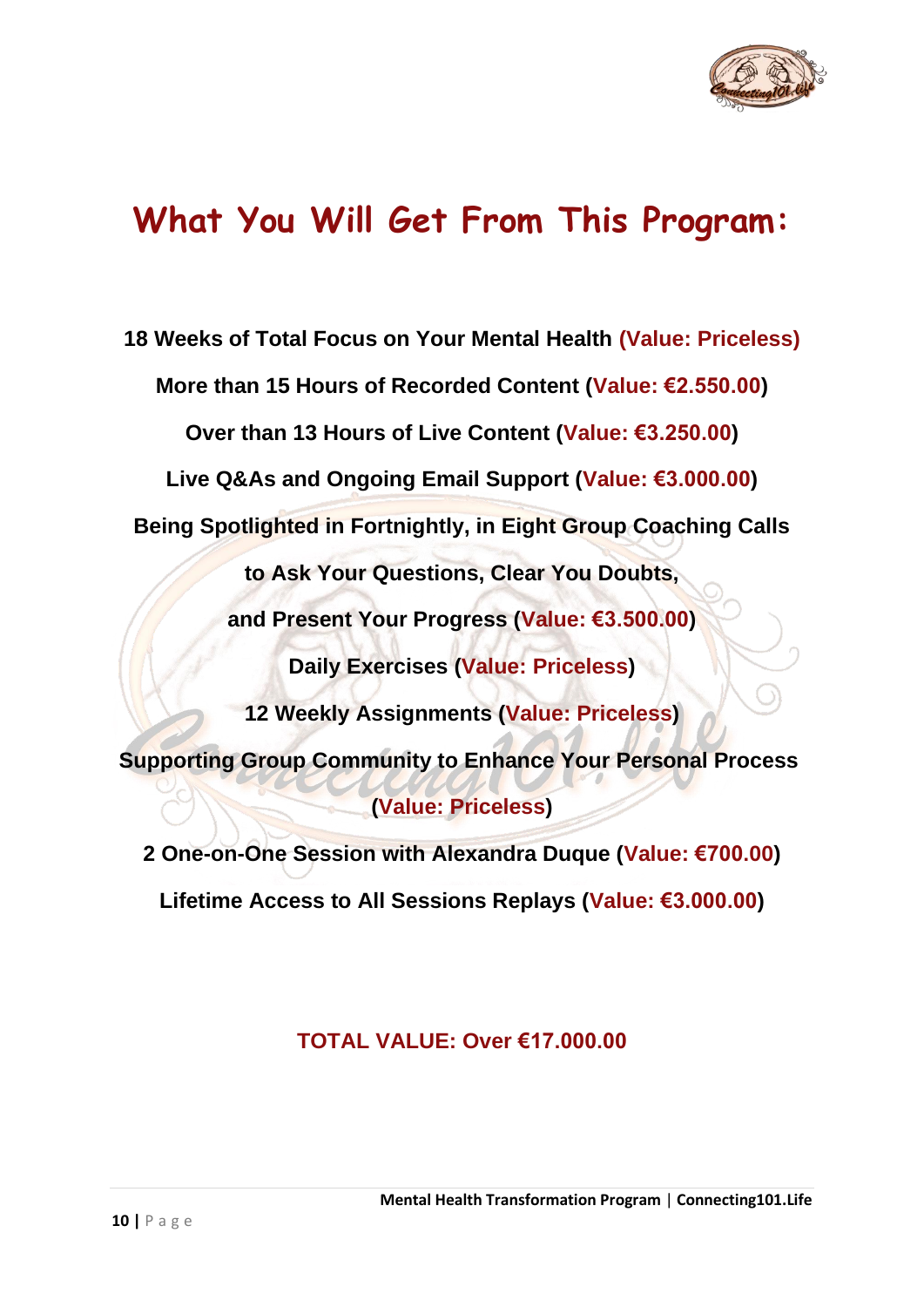

### **What You Will Get From This Program:**

**18 Weeks of Total Focus on Your Mental Health (Value: Priceless) More than 15 Hours of Recorded Content (Value: €2.550.00) Over than 13 Hours of Live Content (Value: €3.250.00) Live Q&As and Ongoing Email Support (Value: €3.000.00) Being Spotlighted in Fortnightly, in Eight Group Coaching Calls to Ask Your Questions, Clear You Doubts, and Present Your Progress (Value: €3.500.00) Daily Exercises (Value: Priceless) 12 Weekly Assignments (Value: Priceless) Supporting Group Community to Enhance Your Personal Process (Value: Priceless) 2 One-on-One Session with Alexandra Duque (Value: €700.00)**

**Lifetime Access to All Sessions Replays (Value: €3.000.00)**

#### **TOTAL VALUE: Over €17.000.00**